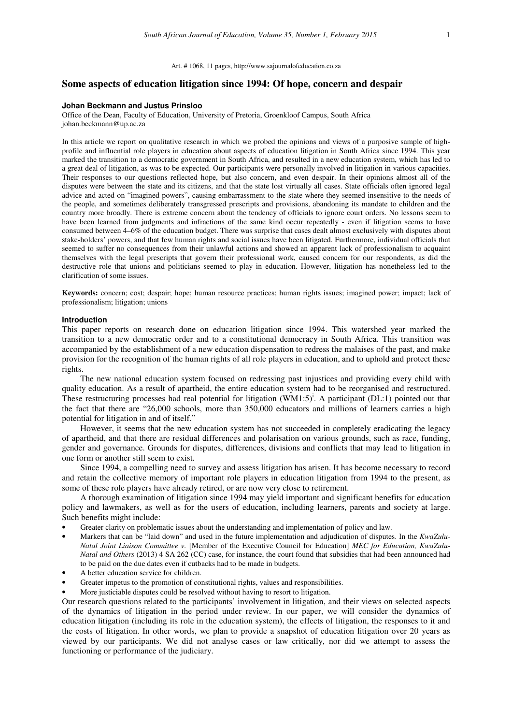# **Some aspects of education litigation since 1994: Of hope, concern and despair**

#### **Johan Beckmann and Justus Prinsloo**

Office of the Dean, Faculty of Education, University of Pretoria, Groenkloof Campus, South Africa johan.beckmann@up.ac.za

In this article we report on qualitative research in which we probed the opinions and views of a purposive sample of highprofile and influential role players in education about aspects of education litigation in South Africa since 1994. This year marked the transition to a democratic government in South Africa, and resulted in a new education system, which has led to a great deal of litigation, as was to be expected. Our participants were personally involved in litigation in various capacities. Their responses to our questions reflected hope, but also concern, and even despair. In their opinions almost all of the disputes were between the state and its citizens, and that the state lost virtually all cases. State officials often ignored legal advice and acted on "imagined powers", causing embarrassment to the state where they seemed insensitive to the needs of the people, and sometimes deliberately transgressed prescripts and provisions, abandoning its mandate to children and the country more broadly. There is extreme concern about the tendency of officials to ignore court orders. No lessons seem to have been learned from judgments and infractions of the same kind occur repeatedly - even if litigation seems to have consumed between 4–6% of the education budget. There was surprise that cases dealt almost exclusively with disputes about stake-holders' powers, and that few human rights and social issues have been litigated. Furthermore, individual officials that seemed to suffer no consequences from their unlawful actions and showed an apparent lack of professionalism to acquaint themselves with the legal prescripts that govern their professional work, caused concern for our respondents, as did the destructive role that unions and politicians seemed to play in education. However, litigation has nonetheless led to the clarification of some issues.

**Keywords:** concern; cost; despair; hope; human resource practices; human rights issues; imagined power; impact; lack of professionalism; litigation; unions

### **Introduction**

This paper reports on research done on education litigation since 1994. This watershed year marked the transition to a new democratic order and to a constitutional democracy in South Africa. This transition was accompanied by the establishment of a new education dispensation to redress the malaises of the past, and make provision for the recognition of the human rights of all role players in education, and to uphold and protect these rights.

The new national education system focused on redressing past injustices and providing every child with quality education. As a result of apartheid, the entire education system had to be reorganised and restructured. These restructuring processes had real potential for litigation  $(WM1:5)^i$ . A participant (DL:1) pointed out that the fact that there are "26,000 schools, more than 350,000 educators and millions of learners carries a high potential for litigation in and of itself."

However, it seems that the new education system has not succeeded in completely eradicating the legacy of apartheid, and that there are residual differences and polarisation on various grounds, such as race, funding, gender and governance. Grounds for disputes, differences, divisions and conflicts that may lead to litigation in one form or another still seem to exist.

Since 1994, a compelling need to survey and assess litigation has arisen. It has become necessary to record and retain the collective memory of important role players in education litigation from 1994 to the present, as some of these role players have already retired, or are now very close to retirement.

A thorough examination of litigation since 1994 may yield important and significant benefits for education policy and lawmakers, as well as for the users of education, including learners, parents and society at large. Such benefits might include:

- Greater clarity on problematic issues about the understanding and implementation of policy and law.
- Markers that can be "laid down" and used in the future implementation and adjudication of disputes. In the *KwaZulu-Natal Joint Liaison Committee v.* [Member of the Executive Council for Education] *MEC for Education, KwaZulu-Natal and Others* (2013) 4 SA 262 (CC) case, for instance, the court found that subsidies that had been announced had to be paid on the due dates even if cutbacks had to be made in budgets.
- A better education service for children.
- Greater impetus to the promotion of constitutional rights, values and responsibilities.
- More justiciable disputes could be resolved without having to resort to litigation.

Our research questions related to the participants' involvement in litigation, and their views on selected aspects of the dynamics of litigation in the period under review. In our paper, we will consider the dynamics of education litigation (including its role in the education system), the effects of litigation, the responses to it and the costs of litigation. In other words, we plan to provide a snapshot of education litigation over 20 years as viewed by our participants. We did not analyse cases or law critically, nor did we attempt to assess the functioning or performance of the judiciary.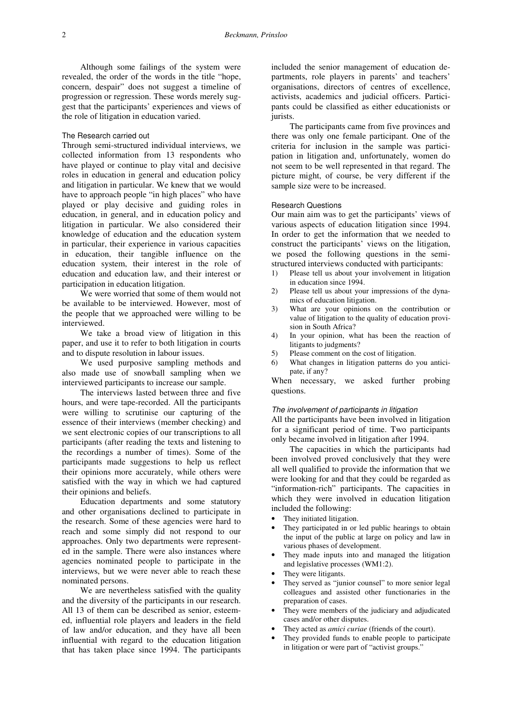Although some failings of the system were revealed, the order of the words in the title "hope, concern, despair" does not suggest a timeline of progression or regression. These words merely suggest that the participants' experiences and views of the role of litigation in education varied.

# The Research carried out

Through semi-structured individual interviews, we collected information from 13 respondents who have played or continue to play vital and decisive roles in education in general and education policy and litigation in particular. We knew that we would have to approach people "in high places" who have played or play decisive and guiding roles in education, in general, and in education policy and litigation in particular. We also considered their knowledge of education and the education system in particular, their experience in various capacities in education, their tangible influence on the education system, their interest in the role of education and education law, and their interest or participation in education litigation.

We were worried that some of them would not be available to be interviewed. However, most of the people that we approached were willing to be interviewed.

We take a broad view of litigation in this paper, and use it to refer to both litigation in courts and to dispute resolution in labour issues.

We used purposive sampling methods and also made use of snowball sampling when we interviewed participants to increase our sample.

The interviews lasted between three and five hours, and were tape-recorded. All the participants were willing to scrutinise our capturing of the essence of their interviews (member checking) and we sent electronic copies of our transcriptions to all participants (after reading the texts and listening to the recordings a number of times). Some of the participants made suggestions to help us reflect their opinions more accurately, while others were satisfied with the way in which we had captured their opinions and beliefs.

Education departments and some statutory and other organisations declined to participate in the research. Some of these agencies were hard to reach and some simply did not respond to our approaches. Only two departments were represented in the sample. There were also instances where agencies nominated people to participate in the interviews, but we were never able to reach these nominated persons.

We are nevertheless satisfied with the quality and the diversity of the participants in our research. All 13 of them can be described as senior, esteemed, influential role players and leaders in the field of law and/or education, and they have all been influential with regard to the education litigation that has taken place since 1994. The participants

included the senior management of education departments, role players in parents' and teachers' organisations, directors of centres of excellence, activists, academics and judicial officers. Participants could be classified as either educationists or jurists.

The participants came from five provinces and there was only one female participant. One of the criteria for inclusion in the sample was participation in litigation and, unfortunately, women do not seem to be well represented in that regard. The picture might, of course, be very different if the sample size were to be increased.

#### Research Questions

Our main aim was to get the participants' views of various aspects of education litigation since 1994. In order to get the information that we needed to construct the participants' views on the litigation, we posed the following questions in the semistructured interviews conducted with participants:

- 1) Please tell us about your involvement in litigation in education since 1994.
- 2) Please tell us about your impressions of the dynamics of education litigation.
- 3) What are your opinions on the contribution or value of litigation to the quality of education provision in South Africa?
- 4) In your opinion, what has been the reaction of litigants to judgments?
- 5) Please comment on the cost of litigation.
- 6) What changes in litigation patterns do you anticipate, if any?

When necessary, we asked further probing questions.

## The involvement of participants in litigation

All the participants have been involved in litigation for a significant period of time. Two participants only became involved in litigation after 1994.

The capacities in which the participants had been involved proved conclusively that they were all well qualified to provide the information that we were looking for and that they could be regarded as "information-rich" participants. The capacities in which they were involved in education litigation included the following:

- They initiated litigation.
- They participated in or led public hearings to obtain the input of the public at large on policy and law in various phases of development.
- They made inputs into and managed the litigation and legislative processes (WM1:2).
- They were litigants.
- They served as "junior counsel" to more senior legal colleagues and assisted other functionaries in the preparation of cases.
- They were members of the judiciary and adjudicated cases and/or other disputes.
- They acted as *amici curiae* (friends of the court).
- They provided funds to enable people to participate in litigation or were part of "activist groups."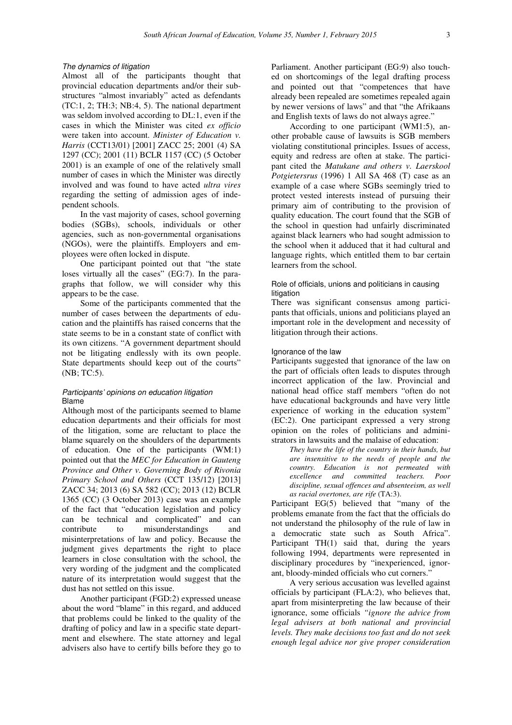### The dynamics of litigation

Almost all of the participants thought that provincial education departments and/or their substructures "almost invariably" acted as defendants (TC:1, 2; TH:3; NB:4, 5). The national department was seldom involved according to DL:1, even if the cases in which the Minister was cited *ex officio* were taken into account. *Minister of Education v. Harris* (CCT13/01) [2001] ZACC 25; 2001 (4) SA 1297 (CC); 2001 (11) BCLR 1157 (CC) (5 October 2001) is an example of one of the relatively small number of cases in which the Minister was directly involved and was found to have acted *ultra vires* regarding the setting of admission ages of independent schools.

In the vast majority of cases, school governing bodies (SGBs), schools, individuals or other agencies, such as non-governmental organisations (NGOs), were the plaintiffs. Employers and employees were often locked in dispute.

One participant pointed out that "the state loses virtually all the cases" (EG:7). In the paragraphs that follow, we will consider why this appears to be the case.

Some of the participants commented that the number of cases between the departments of education and the plaintiffs has raised concerns that the state seems to be in a constant state of conflict with its own citizens. "A government department should not be litigating endlessly with its own people. State departments should keep out of the courts" (NB; TC:5).

# Participants' opinions on education litigation Blame

Although most of the participants seemed to blame education departments and their officials for most of the litigation, some are reluctant to place the blame squarely on the shoulders of the departments of education. One of the participants (WM:1) pointed out that the *MEC for Education in Gauteng Province and Other v. Governing Body of Rivonia Primary School and Others* (CCT 135/12) [2013] ZACC 34; 2013 (6) SA 582 (CC); 2013 (12) BCLR 1365 (CC) (3 October 2013) case was an example of the fact that "education legislation and policy can be technical and complicated" and can contribute to misunderstandings and misinterpretations of law and policy. Because the judgment gives departments the right to place learners in close consultation with the school, the very wording of the judgment and the complicated nature of its interpretation would suggest that the dust has not settled on this issue.

Another participant (FGD:2) expressed unease about the word "blame" in this regard, and adduced that problems could be linked to the quality of the drafting of policy and law in a specific state department and elsewhere. The state attorney and legal advisers also have to certify bills before they go to Parliament. Another participant (EG:9) also touched on shortcomings of the legal drafting process and pointed out that "competences that have already been repealed are sometimes repealed again by newer versions of laws" and that "the Afrikaans and English texts of laws do not always agree."

According to one participant (WM1:5), another probable cause of lawsuits is SGB members violating constitutional principles. Issues of access, equity and redress are often at stake. The participant cited the *Matukane and others v. Laerskool Potgietersrus* (1996) 1 All SA 468 (T) case as an example of a case where SGBs seemingly tried to protect vested interests instead of pursuing their primary aim of contributing to the provision of quality education. The court found that the SGB of the school in question had unfairly discriminated against black learners who had sought admission to the school when it adduced that it had cultural and language rights, which entitled them to bar certain learners from the school.

## Role of officials, unions and politicians in causing litigation

There was significant consensus among participants that officials, unions and politicians played an important role in the development and necessity of litigation through their actions.

### Ignorance of the law

Participants suggested that ignorance of the law on the part of officials often leads to disputes through incorrect application of the law. Provincial and national head office staff members "often do not have educational backgrounds and have very little experience of working in the education system" (EC:2). One participant expressed a very strong opinion on the roles of politicians and administrators in lawsuits and the malaise of education:

*They have the life of the country in their hands, but are insensitive to the needs of people and the country. Education is not permeated with excellence and committed teachers. Poor discipline, sexual offences and absenteeism, as well as racial overtones, are rife* (TA:3).

Participant EG(5) believed that "many of the problems emanate from the fact that the officials do not understand the philosophy of the rule of law in a democratic state such as South Africa". Participant TH(1) said that, during the years following 1994, departments were represented in disciplinary procedures by "inexperienced, ignorant, bloody-minded officials who cut corners."

A very serious accusation was levelled against officials by participant (FLA:2), who believes that, apart from misinterpreting the law because of their ignorance, some officials *"ignore the advice from legal advisers at both national and provincial levels. They make decisions too fast and do not seek enough legal advice nor give proper consideration*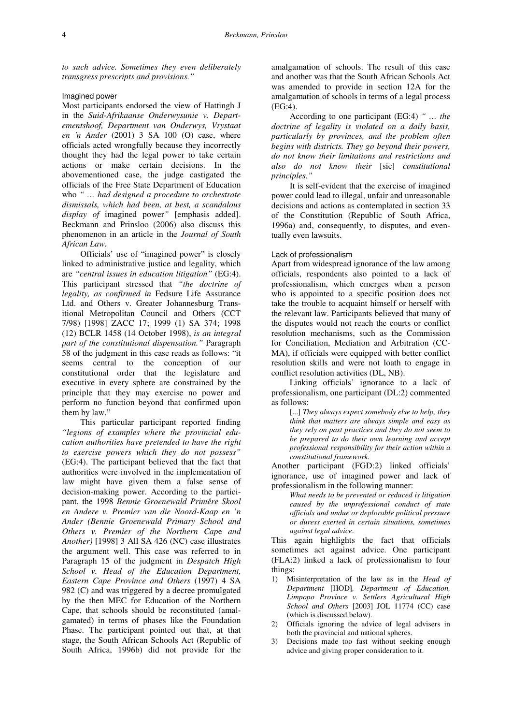*to such advice. Sometimes they even deliberately transgress prescripts and provisions."* 

### Imagined power

Most participants endorsed the view of Hattingh J in the *Suid-Afrikaanse Onderwysunie v. Departementshoof, Department van Onderwys, Vrystaat en 'n Ander* (2001) 3 SA 100 (O) case, where officials acted wrongfully because they incorrectly thought they had the legal power to take certain actions or make certain decisions. In the abovementioned case, the judge castigated the officials of the Free State Department of Education who *" … had designed a procedure to orchestrate dismissals, which had been, at best, a scandalous display of* imagined power*"* [emphasis added]. Beckmann and Prinsloo (2006) also discuss this phenomenon in an article in the *Journal of South African Law.*

Officials' use of "imagined power" is closely linked to administrative justice and legality, which are *"central issues in education litigation"* (EG:4). This participant stressed that *"the doctrine of legality, as confirmed in* Fedsure Life Assurance Ltd. and Others v. Greater Johannesburg Transitional Metropolitan Council and Others (CCT 7/98) [1998] ZACC 17; 1999 (1) SA 374; 1998 (12) BCLR 1458 (14 October 1998), *is an integral part of the constitutional dispensation."* Paragraph 58 of the judgment in this case reads as follows: "it seems central to the conception of our constitutional order that the legislature and executive in every sphere are constrained by the principle that they may exercise no power and perform no function beyond that confirmed upon them by law."

This particular participant reported finding *"legions of examples where the provincial education authorities have pretended to have the right to exercise powers which they do not possess"*  (EG:4). The participant believed that the fact that authorities were involved in the implementation of law might have given them a false sense of decision-making power. According to the participant, the 1998 *Bennie Groenewald Primêre Skool en Andere v. Premier van die Noord-Kaap en 'n Ander (Bennie Groenewald Primary School and Others v. Premier of the Northern Cap*e *and Another)* [1998] 3 All SA 426 (NC) case illustrates the argument well. This case was referred to in Paragraph 15 of the judgment in *Despatch High School v. Head of the Education Department, Eastern Cape Province and Others* (1997) 4 SA 982 (C) and was triggered by a decree promulgated by the then MEC for Education of the Northern Cape, that schools should be reconstituted (amalgamated) in terms of phases like the Foundation Phase. The participant pointed out that, at that stage, the South African Schools Act (Republic of South Africa, 1996b) did not provide for the

amalgamation of schools. The result of this case and another was that the South African Schools Act was amended to provide in section 12A for the amalgamation of schools in terms of a legal process (EG:4).

According to one participant (EG:4) *" … the doctrine of legality is violated on a daily basis, particularly by provinces, and the problem often begins with districts. They go beyond their powers, do not know their limitations and restrictions and also do not know their* [sic] *constitutional principles."*

It is self-evident that the exercise of imagined power could lead to illegal, unfair and unreasonable decisions and actions as contemplated in section 33 of the Constitution (Republic of South Africa, 1996a) and, consequently, to disputes, and eventually even lawsuits.

#### Lack of professionalism

Apart from widespread ignorance of the law among officials, respondents also pointed to a lack of professionalism, which emerges when a person who is appointed to a specific position does not take the trouble to acquaint himself or herself with the relevant law. Participants believed that many of the disputes would not reach the courts or conflict resolution mechanisms, such as the Commission for Conciliation, Mediation and Arbitration (CC-MA), if officials were equipped with better conflict resolution skills and were not loath to engage in conflict resolution activities (DL, NB).

Linking officials' ignorance to a lack of professionalism, one participant (DL:2) commented as follows:

[...] *They always expect somebody else to help, they think that matters are always simple and easy as they rely on past practices and they do not seem to be prepared to do their own learning and accept professional responsibility for their action within a constitutional framework.*

Another participant (FGD:2) linked officials' ignorance, use of imagined power and lack of professionalism in the following manner:

*What needs to be prevented or reduced is litigation caused by the unprofessional conduct of state officials and undue or deplorable political pressure or duress exerted in certain situations, sometimes against legal advice*.

This again highlights the fact that officials sometimes act against advice. One participant (FLA:2) linked a lack of professionalism to four things:

- 1) Misinterpretation of the law as in the *Head of Department* [HOD]*, Department of Education, Limpopo Province v. Settlers Agricultural High School and Others* [2003] JOL 11774 (CC) case (which is discussed below).
- 2) Officials ignoring the advice of legal advisers in both the provincial and national spheres.
- 3) Decisions made too fast without seeking enough advice and giving proper consideration to it.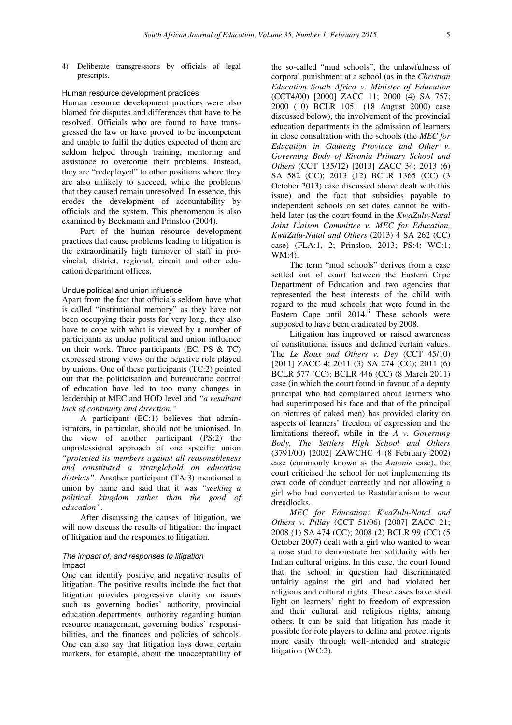4) Deliberate transgressions by officials of legal prescripts.

#### Human resource development practices

Human resource development practices were also blamed for disputes and differences that have to be resolved. Officials who are found to have transgressed the law or have proved to be incompetent and unable to fulfil the duties expected of them are seldom helped through training, mentoring and assistance to overcome their problems. Instead, they are "redeployed" to other positions where they are also unlikely to succeed, while the problems that they caused remain unresolved. In essence, this erodes the development of accountability by officials and the system. This phenomenon is also examined by Beckmann and Prinsloo (2004).

Part of the human resource development practices that cause problems leading to litigation is the extraordinarily high turnover of staff in provincial, district, regional, circuit and other education department offices.

## Undue political and union influence

Apart from the fact that officials seldom have what is called "institutional memory" as they have not been occupying their posts for very long, they also have to cope with what is viewed by a number of participants as undue political and union influence on their work. Three participants (EC, PS & TC) expressed strong views on the negative role played by unions. One of these participants (TC:2) pointed out that the politicisation and bureaucratic control of education have led to too many changes in leadership at MEC and HOD level and *"a resultant lack of continuity and direction."*

A participant (EC:1) believes that administrators, in particular, should not be unionised. In the view of another participant (PS:2) the unprofessional approach of one specific union *"protected its members against all reasonableness and constituted a stranglehold on education districts".* Another participant (TA:3) mentioned a union by name and said that it was *"seeking a political kingdom rather than the good of education".*

After discussing the causes of litigation, we will now discuss the results of litigation: the impact of litigation and the responses to litigation.

### The impact of, and responses to litigation Impact

One can identify positive and negative results of litigation. The positive results include the fact that litigation provides progressive clarity on issues such as governing bodies' authority, provincial education departments' authority regarding human resource management, governing bodies' responsibilities, and the finances and policies of schools. One can also say that litigation lays down certain markers, for example, about the unacceptability of

the so-called "mud schools", the unlawfulness of corporal punishment at a school (as in the *Christian Education South Africa v. Minister of Education* (CCT4/00) [2000] ZACC 11; 2000 (4) SA 757; 2000 (10) BCLR 1051 (18 August 2000) case discussed below), the involvement of the provincial education departments in the admission of learners in close consultation with the schools (the *MEC for Education in Gauteng Province and Other v. Governing Body of Rivonia Primary School and Others* (CCT 135/12) [2013] ZACC 34; 2013 (6) SA 582 (CC); 2013 (12) BCLR 1365 (CC) (3 October 2013) case discussed above dealt with this issue) and the fact that subsidies payable to independent schools on set dates cannot be withheld later (as the court found in the *KwaZulu-Natal Joint Liaison Committee v. MEC for Education, KwaZulu-Natal and Others* (2013) 4 SA 262 (CC) case) (FLA:1, 2; Prinsloo, 2013; PS:4; WC:1; WM:4).

The term "mud schools" derives from a case settled out of court between the Eastern Cape Department of Education and two agencies that represented the best interests of the child with regard to the mud schools that were found in the Eastern Cape until 2014.<sup>ii</sup> These schools were supposed to have been eradicated by 2008.

Litigation has improved or raised awareness of constitutional issues and defined certain values. The *Le Roux and Others v. Dey* (CCT 45/10) [2011] ZACC 4; 2011 (3) SA 274 (CC); 2011 (6) BCLR 577 (CC); BCLR 446 (CC) (8 March 2011) case (in which the court found in favour of a deputy principal who had complained about learners who had superimposed his face and that of the principal on pictures of naked men) has provided clarity on aspects of learners' freedom of expression and the limitations thereof, while in the *A v. Governing Body, The Settlers High School and Others* (3791/00) [2002] ZAWCHC 4 (8 February 2002) case (commonly known as the *Antonie* case), the court criticised the school for not implementing its own code of conduct correctly and not allowing a girl who had converted to Rastafarianism to wear dreadlocks.

*MEC for Education: KwaZulu-Natal and Others v. Pillay* (CCT 51/06) [2007] ZACC 21; 2008 (1) SA 474 (CC); 2008 (2) BCLR 99 (CC) (5 October 2007) dealt with a girl who wanted to wear a nose stud to demonstrate her solidarity with her Indian cultural origins. In this case, the court found that the school in question had discriminated unfairly against the girl and had violated her religious and cultural rights. These cases have shed light on learners' right to freedom of expression and their cultural and religious rights, among others. It can be said that litigation has made it possible for role players to define and protect rights more easily through well-intended and strategic litigation (WC:2).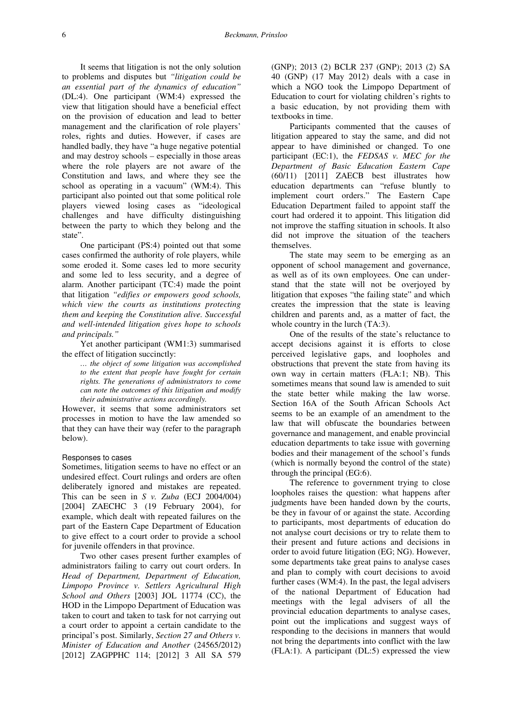It seems that litigation is not the only solution to problems and disputes but *"litigation could be an essential part of the dynamics of education"*  (DL:4). One participant (WM:4) expressed the view that litigation should have a beneficial effect on the provision of education and lead to better management and the clarification of role players' roles, rights and duties. However, if cases are handled badly, they have "a huge negative potential and may destroy schools – especially in those areas where the role players are not aware of the Constitution and laws, and where they see the school as operating in a vacuum" (WM:4). This participant also pointed out that some political role players viewed losing cases as "ideological challenges and have difficulty distinguishing between the party to which they belong and the state".

One participant (PS:4) pointed out that some cases confirmed the authority of role players, while some eroded it. Some cases led to more security and some led to less security, and a degree of alarm. Another participant (TC:4) made the point that litigation *"edifies or empowers good schools, which view the courts as institutions protecting them and keeping the Constitution alive. Successful and well-intended litigation gives hope to schools and principals."*

Yet another participant (WM1:3) summarised the effect of litigation succinctly:

> *… the object of some litigation was accomplished to the extent that people have fought for certain rights. The generations of administrators to come can note the outcomes of this litigation and modify their administrative actions accordingly.*

However, it seems that some administrators set processes in motion to have the law amended so that they can have their way (refer to the paragraph below).

## Responses to cases

Sometimes, litigation seems to have no effect or an undesired effect. Court rulings and orders are often deliberately ignored and mistakes are repeated. This can be seen in *S v. Zuba* (ECJ 2004/004) [2004] ZAECHC 3 (19 February 2004), for example, which dealt with repeated failures on the part of the Eastern Cape Department of Education to give effect to a court order to provide a school for juvenile offenders in that province.

Two other cases present further examples of administrators failing to carry out court orders. In *Head of Department, Department of Education, Limpopo Province v. Settlers Agricultural High School and Others* [2003] JOL 11774 (CC), the HOD in the Limpopo Department of Education was taken to court and taken to task for not carrying out a court order to appoint a certain candidate to the principal's post. Similarly, *Section 27 and Others v. Minister of Education and Another* (24565/2012) [2012] ZAGPPHC 114; [2012] 3 All SA 579

(GNP); 2013 (2) BCLR 237 (GNP); 2013 (2) SA 40 (GNP) (17 May 2012) deals with a case in which a NGO took the Limpopo Department of Education to court for violating children's rights to a basic education, by not providing them with textbooks in time.

Participants commented that the causes of litigation appeared to stay the same, and did not appear to have diminished or changed. To one participant (EC:1), the *FEDSAS v. MEC for the Department of Basic Education Eastern Cape*  (60/11) [2011] ZAECB best illustrates how education departments can "refuse bluntly to implement court orders." The Eastern Cape Education Department failed to appoint staff the court had ordered it to appoint. This litigation did not improve the staffing situation in schools. It also did not improve the situation of the teachers themselves.

The state may seem to be emerging as an opponent of school management and governance, as well as of its own employees. One can understand that the state will not be overjoyed by litigation that exposes "the failing state" and which creates the impression that the state is leaving children and parents and, as a matter of fact, the whole country in the lurch (TA:3).

One of the results of the state's reluctance to accept decisions against it is efforts to close perceived legislative gaps, and loopholes and obstructions that prevent the state from having its own way in certain matters (FLA:1; NB). This sometimes means that sound law is amended to suit the state better while making the law worse. Section 16A of the South African Schools Act seems to be an example of an amendment to the law that will obfuscate the boundaries between governance and management, and enable provincial education departments to take issue with governing bodies and their management of the school's funds (which is normally beyond the control of the state) through the principal (EG:6).

The reference to government trying to close loopholes raises the question: what happens after judgments have been handed down by the courts, be they in favour of or against the state. According to participants, most departments of education do not analyse court decisions or try to relate them to their present and future actions and decisions in order to avoid future litigation (EG; NG). However, some departments take great pains to analyse cases and plan to comply with court decisions to avoid further cases (WM:4). In the past, the legal advisers of the national Department of Education had meetings with the legal advisers of all the provincial education departments to analyse cases, point out the implications and suggest ways of responding to the decisions in manners that would not bring the departments into conflict with the law (FLA:1). A participant (DL:5) expressed the view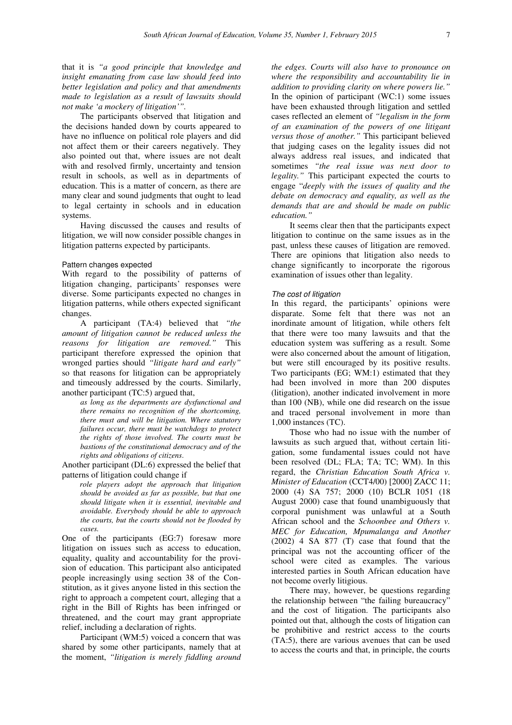that it is *"a good principle that knowledge and insight emanating from case law should feed into better legislation and policy and that amendments made to legislation as a result of lawsuits should not make 'a mockery of litigation'".* 

The participants observed that litigation and the decisions handed down by courts appeared to have no influence on political role players and did not affect them or their careers negatively. They also pointed out that, where issues are not dealt with and resolved firmly, uncertainty and tension result in schools, as well as in departments of education. This is a matter of concern, as there are many clear and sound judgments that ought to lead to legal certainty in schools and in education systems.

Having discussed the causes and results of litigation, we will now consider possible changes in litigation patterns expected by participants.

### Pattern changes expected

With regard to the possibility of patterns of litigation changing, participants' responses were diverse. Some participants expected no changes in litigation patterns, while others expected significant changes.

A participant (TA:4) believed that *"the amount of litigation cannot be reduced unless the reasons for litigation are removed."* This participant therefore expressed the opinion that wronged parties should *"litigate hard and early"* so that reasons for litigation can be appropriately and timeously addressed by the courts. Similarly, another participant (TC:5) argued that,

*as long as the departments are dysfunctional and there remains no recognition of the shortcoming, there must and will be litigation. Where statutory failures occur, there must be watchdogs to protect the rights of those involved. The courts must be bastions of the constitutional democracy and of the rights and obligations of citizens*.

Another participant (DL:6) expressed the belief that patterns of litigation could change if

*role players adopt the approach that litigation should be avoided as far as possible, but that one should litigate when it is essential, inevitable and avoidable. Everybody should be able to approach the courts, but the courts should not be flooded by cases.* 

One of the participants (EG:7) foresaw more litigation on issues such as access to education, equality, quality and accountability for the provision of education. This participant also anticipated people increasingly using section 38 of the Constitution, as it gives anyone listed in this section the right to approach a competent court, alleging that a right in the Bill of Rights has been infringed or threatened, and the court may grant appropriate relief, including a declaration of rights.

Participant (WM:5) voiced a concern that was shared by some other participants, namely that at the moment, *"litigation is merely fiddling around*  *the edges. Courts will also have to pronounce on where the responsibility and accountability lie in addition to providing clarity on where powers lie."* In the opinion of participant  $(WC:1)$  some issues have been exhausted through litigation and settled cases reflected an element of *"legalism in the form of an examination of the powers of one litigant versus those of another."* This participant believed that judging cases on the legality issues did not always address real issues, and indicated that sometimes *"the real issue was next door to legality."* This participant expected the courts to engage "*deeply with the issues of quality and the debate on democracy and equality, as well as the demands that are and should be made on public education."*

It seems clear then that the participants expect litigation to continue on the same issues as in the past, unless these causes of litigation are removed. There are opinions that litigation also needs to change significantly to incorporate the rigorous examination of issues other than legality.

#### The cost of litigation

In this regard, the participants' opinions were disparate. Some felt that there was not an inordinate amount of litigation, while others felt that there were too many lawsuits and that the education system was suffering as a result. Some were also concerned about the amount of litigation, but were still encouraged by its positive results. Two participants (EG; WM:1) estimated that they had been involved in more than 200 disputes (litigation), another indicated involvement in more than 100 (NB), while one did research on the issue and traced personal involvement in more than 1,000 instances (TC).

Those who had no issue with the number of lawsuits as such argued that, without certain litigation, some fundamental issues could not have been resolved (DL; FLA; TA; TC; WM). In this regard, the *Christian Education South Africa v. Minister of Education* (CCT4/00) [2000] ZACC 11; 2000 (4) SA 757; 2000 (10) BCLR 1051 (18 August 2000) case that found unambiguously that corporal punishment was unlawful at a South African school and the *Schoonbee and Others v. MEC for Education, Mpumalanga and Another* (2002) 4 SA 877 (T) case that found that the principal was not the accounting officer of the school were cited as examples. The various interested parties in South African education have not become overly litigious.

There may, however, be questions regarding the relationship between "the failing bureaucracy" and the cost of litigation. The participants also pointed out that, although the costs of litigation can be prohibitive and restrict access to the courts (TA:5), there are various avenues that can be used to access the courts and that, in principle, the courts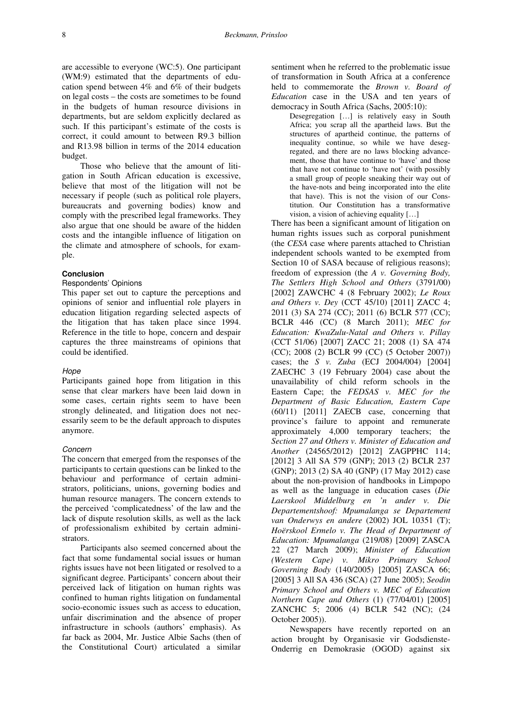are accessible to everyone (WC:5). One participant (WM:9) estimated that the departments of education spend between 4% and 6% of their budgets on legal costs – the costs are sometimes to be found in the budgets of human resource divisions in departments, but are seldom explicitly declared as such. If this participant's estimate of the costs is correct, it could amount to between R9.3 billion and R13.98 billion in terms of the 2014 education budget.

Those who believe that the amount of litigation in South African education is excessive, believe that most of the litigation will not be necessary if people (such as political role players, bureaucrats and governing bodies) know and comply with the prescribed legal frameworks. They also argue that one should be aware of the hidden costs and the intangible influence of litigation on the climate and atmosphere of schools, for example.

### **Conclusion**

Respondents' Opinions

This paper set out to capture the perceptions and opinions of senior and influential role players in education litigation regarding selected aspects of the litigation that has taken place since 1994. Reference in the title to hope, concern and despair captures the three mainstreams of opinions that could be identified.

### Hope

Participants gained hope from litigation in this sense that clear markers have been laid down in some cases, certain rights seem to have been strongly delineated, and litigation does not necessarily seem to be the default approach to disputes anymore.

### Concern

The concern that emerged from the responses of the participants to certain questions can be linked to the behaviour and performance of certain administrators, politicians, unions, governing bodies and human resource managers. The concern extends to the perceived 'complicatedness' of the law and the lack of dispute resolution skills, as well as the lack of professionalism exhibited by certain administrators.

Participants also seemed concerned about the fact that some fundamental social issues or human rights issues have not been litigated or resolved to a significant degree. Participants' concern about their perceived lack of litigation on human rights was confined to human rights litigation on fundamental socio-economic issues such as access to education, unfair discrimination and the absence of proper infrastructure in schools (authors' emphasis). As far back as 2004, Mr. Justice Albie Sachs (then of the Constitutional Court) articulated a similar

sentiment when he referred to the problematic issue of transformation in South Africa at a conference held to commemorate the *Brown v. Board of Education* case in the USA and ten years of democracy in South Africa (Sachs, 2005:10):

Desegregation […] is relatively easy in South Africa; you scrap all the apartheid laws. But the structures of apartheid continue, the patterns of inequality continue, so while we have desegregated, and there are no laws blocking advancement, those that have continue to 'have' and those that have not continue to 'have not' (with possibly a small group of people sneaking their way out of the have-nots and being incorporated into the elite that have). This is not the vision of our Constitution. Our Constitution has a transformative vision, a vision of achieving equality […]

There has been a significant amount of litigation on human rights issues such as corporal punishment (the *CESA* case where parents attached to Christian independent schools wanted to be exempted from Section 10 of SASA because of religious reasons); freedom of expression (the *A v. Governing Body, The Settlers High School and Others* (3791/00) [2002] ZAWCHC 4 (8 February 2002); *Le Roux and Others v. Dey* (CCT 45/10) [2011] ZACC 4; 2011 (3) SA 274 (CC); 2011 (6) BCLR 577 (CC); BCLR 446 (CC) (8 March 2011); *MEC for Education: KwaZulu-Natal and Others v. Pillay*  (CCT 51/06) [2007] ZACC 21; 2008 (1) SA 474 (CC); 2008 (2) BCLR 99 (CC) (5 October 2007)) cases; the *S v. Zuba* (ECJ 2004/004) [2004] ZAECHC 3 (19 February 2004) case about the unavailability of child reform schools in the Eastern Cape; the *FEDSAS v. MEC for the Department of Basic Education, Eastern Cape* (60/11) [2011] ZAECB case, concerning that province's failure to appoint and remunerate approximately 4,000 temporary teachers; the *Section 27 and Others v. Minister of Education and Another* (24565/2012) [2012] ZAGPPHC 114; [2012] 3 All SA 579 (GNP); 2013 (2) BCLR 237 (GNP); 2013 (2) SA 40 (GNP) (17 May 2012) case about the non-provision of handbooks in Limpopo as well as the language in education cases (*Die Laerskool Middelburg en 'n ander v. Die Departementshoof: Mpumalanga se Departement van Onderwys en andere* (2002) JOL 10351 (T); *Hoërskool Ermelo v. The Head of Department of Education: Mpumalanga* (219/08) [2009] ZASCA 22 (27 March 2009); *Minister of Education (Western Cape) v. Mikro Primary School Governing Body* (140/2005) [2005] ZASCA 66; [2005] 3 All SA 436 (SCA) (27 June 2005); *Seodin Primary School and Others v. MEC of Education Northern Cape and Others* (1) (77/04/01) [2005] ZANCHC 5; 2006 (4) BCLR 542 (NC); (24 October 2005)).

Newspapers have recently reported on an action brought by Organisasie vir Godsdienste-Onderrig en Demokrasie (OGOD) against six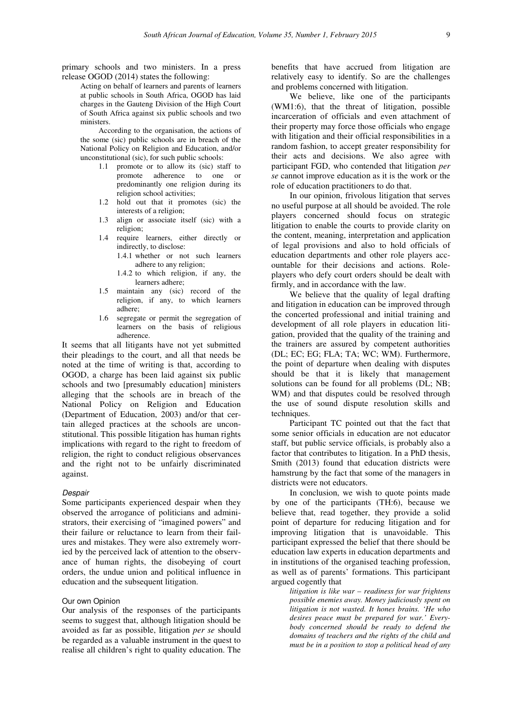primary schools and two ministers. In a press release OGOD (2014) states the following:

> Acting on behalf of learners and parents of learners at public schools in South Africa, OGOD has laid charges in the Gauteng Division of the High Court of South Africa against six public schools and two ministers.

> According to the organisation, the actions of the some (sic) public schools are in breach of the National Policy on Religion and Education, and/or unconstitutional (sic), for such public schools:

- 1.1 promote or to allow its (sic) staff to promote adherence to one or predominantly one religion during its religion school activities;
- 1.2 hold out that it promotes (sic) the interests of a religion;
- 1.3 align or associate itself (sic) with a religion;
- 1.4 require learners, either directly or indirectly, to disclose:
	- 1.4.1 whether or not such learners adhere to any religion;
	- 1.4.2 to which religion, if any, the learners adhere;
- 1.5 maintain any (sic) record of the religion, if any, to which learners adhere;
- 1.6 segregate or permit the segregation of learners on the basis of religious adherence.

It seems that all litigants have not yet submitted their pleadings to the court, and all that needs be noted at the time of writing is that, according to OGOD, a charge has been laid against six public schools and two [presumably education] ministers alleging that the schools are in breach of the National Policy on Religion and Education (Department of Education, 2003) and/or that certain alleged practices at the schools are unconstitutional. This possible litigation has human rights implications with regard to the right to freedom of religion, the right to conduct religious observances and the right not to be unfairly discriminated against.

#### Despair

Some participants experienced despair when they observed the arrogance of politicians and administrators, their exercising of "imagined powers" and their failure or reluctance to learn from their failures and mistakes. They were also extremely worried by the perceived lack of attention to the observance of human rights, the disobeying of court orders, the undue union and political influence in education and the subsequent litigation.

## Our own Opinion

Our analysis of the responses of the participants seems to suggest that, although litigation should be avoided as far as possible, litigation *per se* should be regarded as a valuable instrument in the quest to realise all children's right to quality education. The benefits that have accrued from litigation are relatively easy to identify. So are the challenges and problems concerned with litigation.

We believe, like one of the participants (WM1:6), that the threat of litigation, possible incarceration of officials and even attachment of their property may force those officials who engage with litigation and their official responsibilities in a random fashion, to accept greater responsibility for their acts and decisions. We also agree with participant FGD, who contended that litigation *per se* cannot improve education as it is the work or the role of education practitioners to do that.

In our opinion, frivolous litigation that serves no useful purpose at all should be avoided. The role players concerned should focus on strategic litigation to enable the courts to provide clarity on the content, meaning, interpretation and application of legal provisions and also to hold officials of education departments and other role players accountable for their decisions and actions. Roleplayers who defy court orders should be dealt with firmly, and in accordance with the law.

We believe that the quality of legal drafting and litigation in education can be improved through the concerted professional and initial training and development of all role players in education litigation, provided that the quality of the training and the trainers are assured by competent authorities (DL; EC; EG; FLA; TA; WC; WM). Furthermore, the point of departure when dealing with disputes should be that it is likely that management solutions can be found for all problems (DL; NB; WM) and that disputes could be resolved through the use of sound dispute resolution skills and techniques.

Participant TC pointed out that the fact that some senior officials in education are not educator staff, but public service officials, is probably also a factor that contributes to litigation. In a PhD thesis, Smith (2013) found that education districts were hamstrung by the fact that some of the managers in districts were not educators.

In conclusion, we wish to quote points made by one of the participants (TH:6), because we believe that, read together, they provide a solid point of departure for reducing litigation and for improving litigation that is unavoidable. This participant expressed the belief that there should be education law experts in education departments and in institutions of the organised teaching profession, as well as of parents' formations. This participant argued cogently that

*litigation is like war – readiness for war frightens possible enemies away. Money judiciously spent on litigation is not wasted. It hones brains. 'He who desires peace must be prepared for war.' Everybody concerned should be ready to defend the domains of teachers and the rights of the child and must be in a position to stop a political head of any*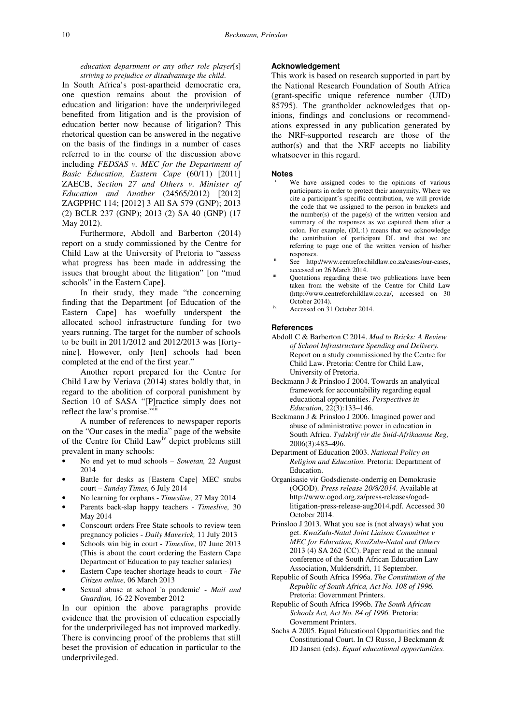*education department or any other role player*[s] *striving to prejudice or disadvantage the child*.

In South Africa's post-apartheid democratic era, one question remains about the provision of education and litigation: have the underprivileged benefited from litigation and is the provision of education better now because of litigation? This rhetorical question can be answered in the negative on the basis of the findings in a number of cases referred to in the course of the discussion above including *FEDSAS v. MEC for the Department of Basic Education, Eastern Cape* (60/11) [2011] ZAECB, *Section 27 and Others v. Minister of Education and Another* (24565/2012) [2012] ZAGPPHC 114; [2012] 3 All SA 579 (GNP); 2013 (2) BCLR 237 (GNP); 2013 (2) SA 40 (GNP) (17 May 2012).

Furthermore, Abdoll and Barberton (2014) report on a study commissioned by the Centre for Child Law at the University of Pretoria to "assess what progress has been made in addressing the issues that brought about the litigation" [on "mud schools" in the Eastern Cape].

In their study, they made "the concerning finding that the Department [of Education of the Eastern Cape] has woefully underspent the allocated school infrastructure funding for two years running. The target for the number of schools to be built in 2011/2012 and 2012/2013 was [fortynine]. However, only [ten] schools had been completed at the end of the first year."

Another report prepared for the Centre for Child Law by Veriava (2014) states boldly that, in regard to the abolition of corporal punishment by Section 10 of SASA "[P]ractice simply does not reflect the law's promise."iii

A number of references to newspaper reports on the "Our cases in the media" page of the website of the Centre for Child Lawiv depict problems still prevalent in many schools:

- No end yet to mud schools *Sowetan,* 22 August 2014
- Battle for desks as [Eastern Cape] MEC snubs court – *Sunday Times,* 6 July 2014
- No learning for orphans *Timeslive,* 27 May 2014
- Parents back-slap happy teachers *Timeslive,* 30 May 2014
- Conscourt orders Free State schools to review teen pregnancy policies - *Daily Maverick,* 11 July 2013
- Schools win big in court *Timeslive,* 07 June 2013 (This is about the court ordering the Eastern Cape Department of Education to pay teacher salaries)
- Eastern Cape teacher shortage heads to court *The Citizen online,* 06 March 2013
- Sexual abuse at school 'a pandemic' *Mail and Guardian,* 16-22 November 2012

In our opinion the above paragraphs provide evidence that the provision of education especially for the underprivileged has not improved markedly. There is convincing proof of the problems that still beset the provision of education in particular to the underprivileged.

## **Acknowledgement**

This work is based on research supported in part by the National Research Foundation of South Africa (grant-specific unique reference number (UID) 85795). The grantholder acknowledges that opinions, findings and conclusions or recommendations expressed in any publication generated by the NRF-supported research are those of the author(s) and that the NRF accepts no liability whatsoever in this regard.

# **Notes**

- We have assigned codes to the opinions of various participants in order to protect their anonymity. Where we cite a participant's specific contribution, we will provide the code that we assigned to the person in brackets and the number(s) of the page(s) of the written version and summary of the responses as we captured them after a colon. For example, (DL:1) means that we acknowledge the contribution of participant DL and that we are referring to page one of the written version of his/her responses.
- ii. See http://www.centreforchildlaw.co.za/cases/our-cases, accessed on 26 March 2014.
- Quotations regarding these two publications have been taken from the website of the Centre for Child Law (http://www.centreforchildlaw.co.za/, accessed on 30 October 2014).
- Accessed on 31 October 2014.

#### **References**

- Abdoll C & Barberton C 2014. *Mud to Bricks: A Review of School Infrastructure Spending and Delivery.*  Report on a study commissioned by the Centre for Child Law. Pretoria: Centre for Child Law, University of Pretoria.
- Beckmann J & Prinsloo J 2004. Towards an analytical framework for accountability regarding equal educational opportunities. *Perspectives in Education,* 22(3):133–146.
- Beckmann J & Prinsloo J 2006. Imagined power and abuse of administrative power in education in South Africa. *Tydskrif vir die Suid-Afrikaanse Reg,* 2006(3):483–496.
- Department of Education 2003. *National Policy on Religion and Education.* Pretoria: Department of Education.
- Organisasie vir Godsdienste-onderrig en Demokrasie (OGOD). *Press release 20/8/2014.* Available at http://www.ogod.org.za/press-releases/ogodlitigation-press-release-aug2014.pdf. Accessed 30 October 2014.
- Prinsloo J 2013. What you see is (not always) what you get. *KwaZulu-Natal Joint Liaison Committee v MEC for Education, KwaZulu-Natal and Others*  2013 (4) SA 262 (CC). Paper read at the annual conference of the South African Education Law Association, Muldersdrift, 11 September.
- Republic of South Africa 1996a. *The Constitution of the Republic of South Africa, Act No. 108 of 1996.* Pretoria: Government Printers.
- Republic of South Africa 1996b. *The South African Schools Act, Act No. 84 of 1996.* Pretoria: Government Printers.
- Sachs A 2005. Equal Educational Opportunities and the Constitutional Court. In CJ Russo, J Beckmann & JD Jansen (eds). *Equal educational opportunities.*